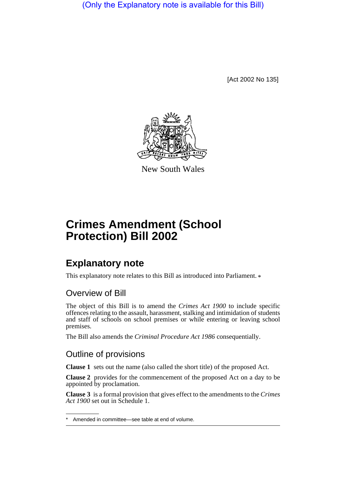(Only the Explanatory note is available for this Bill)

[Act 2002 No 135]



New South Wales

# **Crimes Amendment (School Protection) Bill 2002**

## **Explanatory note**

This explanatory note relates to this Bill as introduced into Parliament.  $*$ 

### Overview of Bill

The object of this Bill is to amend the *Crimes Act 1900* to include specific offences relating to the assault, harassment, stalking and intimidation of students and staff of schools on school premises or while entering or leaving school premises.

The Bill also amends the *Criminal Procedure Act 1986* consequentially.

#### Outline of provisions

**Clause 1** sets out the name (also called the short title) of the proposed Act.

**Clause 2** provides for the commencement of the proposed Act on a day to be appointed by proclamation.

**Clause 3** is a formal provision that gives effect to the amendments to the *Crimes Act 1900* set out in Schedule 1.

Amended in committee—see table at end of volume.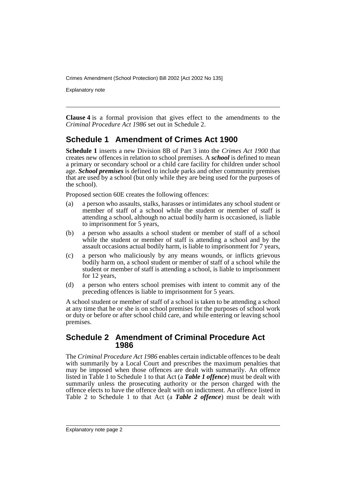Crimes Amendment (School Protection) Bill 2002 [Act 2002 No 135]

Explanatory note

**Clause 4** is a formal provision that gives effect to the amendments to the *Criminal Procedure Act 1986* set out in Schedule 2.

#### **Schedule 1 Amendment of Crimes Act 1900**

**Schedule 1** inserts a new Division 8B of Part 3 into the *Crimes Act 1900* that creates new offences in relation to school premises. A *school* is defined to mean a primary or secondary school or a child care facility for children under school age. *School premises* is defined to include parks and other community premises that are used by a school (but only while they are being used for the purposes of the school).

Proposed section 60E creates the following offences:

- (a) a person who assaults, stalks, harasses or intimidates any school student or member of staff of a school while the student or member of staff is attending a school, although no actual bodily harm is occasioned, is liable to imprisonment for 5 years,
- (b) a person who assaults a school student or member of staff of a school while the student or member of staff is attending a school and by the assault occasions actual bodily harm, is liable to imprisonment for 7 years,
- (c) a person who maliciously by any means wounds, or inflicts grievous bodily harm on, a school student or member of staff of a school while the student or member of staff is attending a school, is liable to imprisonment for 12 years,
- (d) a person who enters school premises with intent to commit any of the preceding offences is liable to imprisonment for 5 years.

A school student or member of staff of a school is taken to be attending a school at any time that he or she is on school premises for the purposes of school work or duty or before or after school child care, and while entering or leaving school premises.

#### **Schedule 2 Amendment of Criminal Procedure Act 1986**

The *Criminal Procedure Act 1986* enables certain indictable offences to be dealt with summarily by a Local Court and prescribes the maximum penalties that may be imposed when those offences are dealt with summarily. An offence listed in Table 1 to Schedule 1 to that Act (a *Table 1 offence*) must be dealt with summarily unless the prosecuting authority or the person charged with the offence elects to have the offence dealt with on indictment. An offence listed in Table 2 to Schedule 1 to that Act (a *Table 2 offence*) must be dealt with